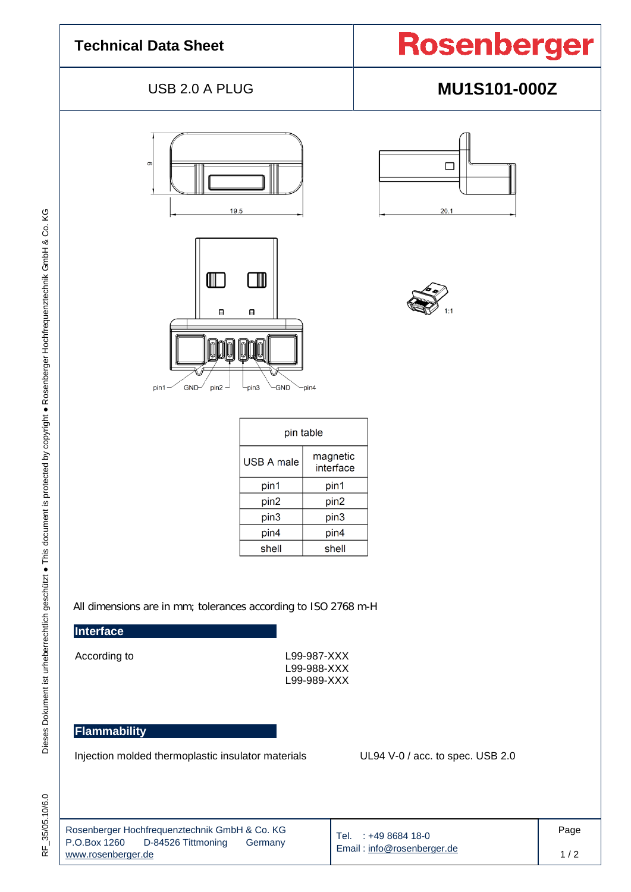#### **Technical Data Sheet**

### USB 2.0 A PLUG **MU1S101-000Z**





|      | □ |
|------|---|
| 20.1 |   |



| pin table  |                       |  |  |
|------------|-----------------------|--|--|
| USB A male | magnetic<br>interface |  |  |
| pin1       | pin1                  |  |  |
| pin2       | pin2                  |  |  |
| pin3       | pin3                  |  |  |
| pin4       | pin4                  |  |  |
| shell      | shell                 |  |  |

All dimensions are in mm; tolerances according to ISO 2768 m-H

#### **Interface**

I

Dieses Dokument ist urheberrechtlich geschützt · This document is protected by copyright · Rosenberger Hochfrequenztechnik GmbH & Co. KG

According to L99-987-XXX L99-988-XXX L99-989-XXX

#### **Flammability**

Injection molded thermoplastic insulator materials UL94 V-0 / acc. to spec. USB 2.0

| Rosenberger Hochfrequenztechnik GmbH & Co. KG<br>$\vert$ P.O.Box 1260 D-84526 Tittmoning<br>Germany<br>www.rosenberger.de | Tel. $: +49868418 - 0$<br>Email: info@rosenberger.de | Page |
|---------------------------------------------------------------------------------------------------------------------------|------------------------------------------------------|------|
|                                                                                                                           |                                                      | 1/2  |

.10/6.0 Dieses Dokument ist urheberrechtlich geschützt ● This document is protected by copyright ● Rosenberger Hochfrequenztechnik GmbH & Co. KG